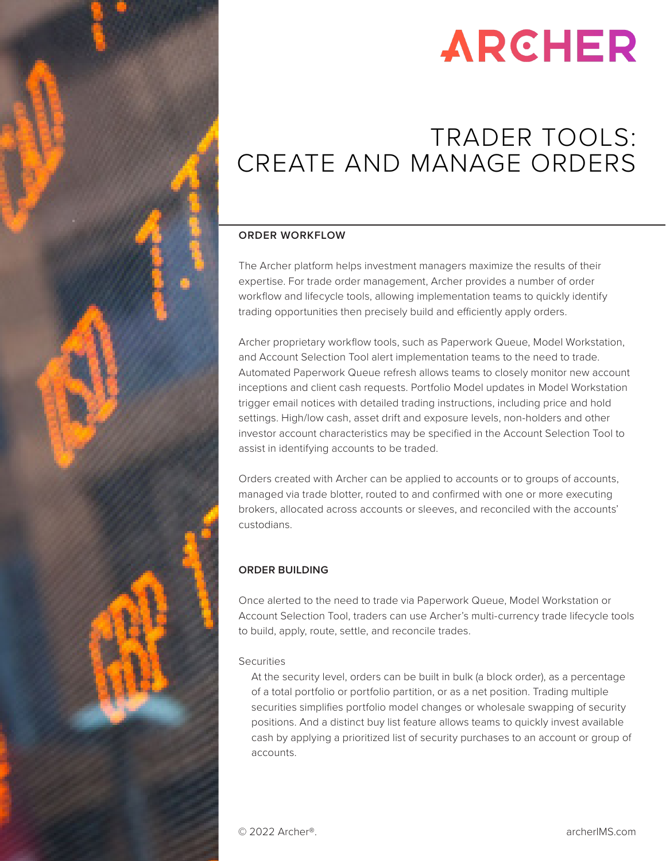

# **ARCHER**

### TRADER TOOLS: CREATE AND MANAGE ORDERS

#### **ORDER WORKFLOW**

The Archer platform helps investment managers maximize the results of their expertise. For trade order management, Archer provides a number of order workflow and lifecycle tools, allowing implementation teams to quickly identify trading opportunities then precisely build and efficiently apply orders.

Archer proprietary workflow tools, such as Paperwork Queue, Model Workstation, and Account Selection Tool alert implementation teams to the need to trade. Automated Paperwork Queue refresh allows teams to closely monitor new account inceptions and client cash requests. Portfolio Model updates in Model Workstation trigger email notices with detailed trading instructions, including price and hold settings. High/low cash, asset drift and exposure levels, non-holders and other investor account characteristics may be specified in the Account Selection Tool to assist in identifying accounts to be traded.

Orders created with Archer can be applied to accounts or to groups of accounts, managed via trade blotter, routed to and confirmed with one or more executing brokers, allocated across accounts or sleeves, and reconciled with the accounts' custodians.

#### **ORDER BUILDING**

Once alerted to the need to trade via Paperwork Queue, Model Workstation or Account Selection Tool, traders can use Archer's multi-currency trade lifecycle tools to build, apply, route, settle, and reconcile trades.

#### **Securities**

At the security level, orders can be built in bulk (a block order), as a percentage of a total portfolio or portfolio partition, or as a net position. Trading multiple securities simplifies portfolio model changes or wholesale swapping of security positions. And a distinct buy list feature allows teams to quickly invest available cash by applying a prioritized list of security purchases to an account or group of accounts.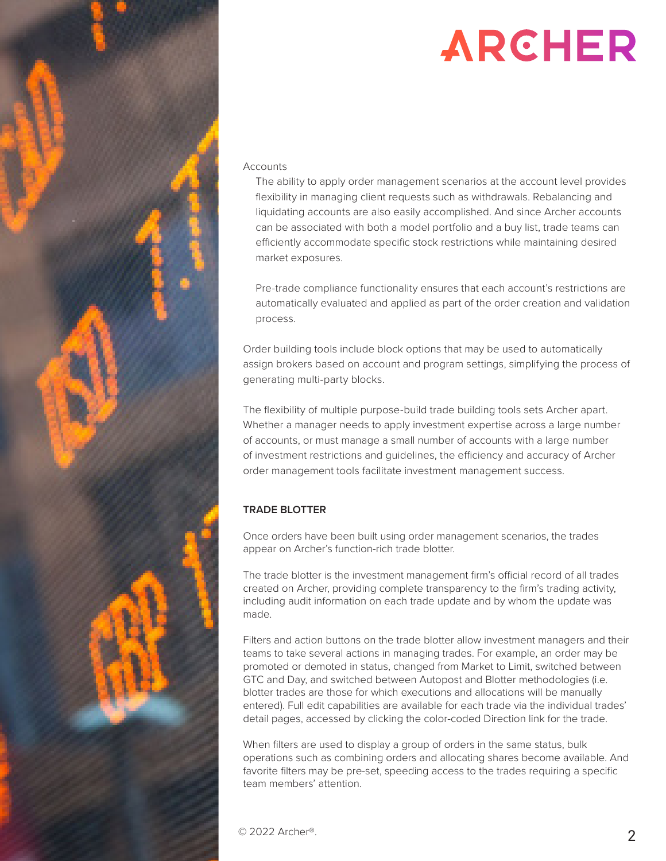

#### **Accounts**

The ability to apply order management scenarios at the account level provides flexibility in managing client requests such as withdrawals. Rebalancing and liquidating accounts are also easily accomplished. And since Archer accounts can be associated with both a model portfolio and a buy list, trade teams can efficiently accommodate specific stock restrictions while maintaining desired market exposures.

Pre-trade compliance functionality ensures that each account's restrictions are automatically evaluated and applied as part of the order creation and validation process.

Order building tools include block options that may be used to automatically assign brokers based on account and program settings, simplifying the process of generating multi-party blocks.

The flexibility of multiple purpose-build trade building tools sets Archer apart. Whether a manager needs to apply investment expertise across a large number of accounts, or must manage a small number of accounts with a large number of investment restrictions and guidelines, the efficiency and accuracy of Archer order management tools facilitate investment management success.

#### **TRADE BLOTTER**

Once orders have been built using order management scenarios, the trades appear on Archer's function-rich trade blotter.

The trade blotter is the investment management firm's official record of all trades created on Archer, providing complete transparency to the firm's trading activity, including audit information on each trade update and by whom the update was made.

Filters and action buttons on the trade blotter allow investment managers and their teams to take several actions in managing trades. For example, an order may be promoted or demoted in status, changed from Market to Limit, switched between GTC and Day, and switched between Autopost and Blotter methodologies (i.e. blotter trades are those for which executions and allocations will be manually entered). Full edit capabilities are available for each trade via the individual trades' detail pages, accessed by clicking the color-coded Direction link for the trade.

When filters are used to display a group of orders in the same status, bulk operations such as combining orders and allocating shares become available. And favorite filters may be pre-set, speeding access to the trades requiring a specific team members' attention.